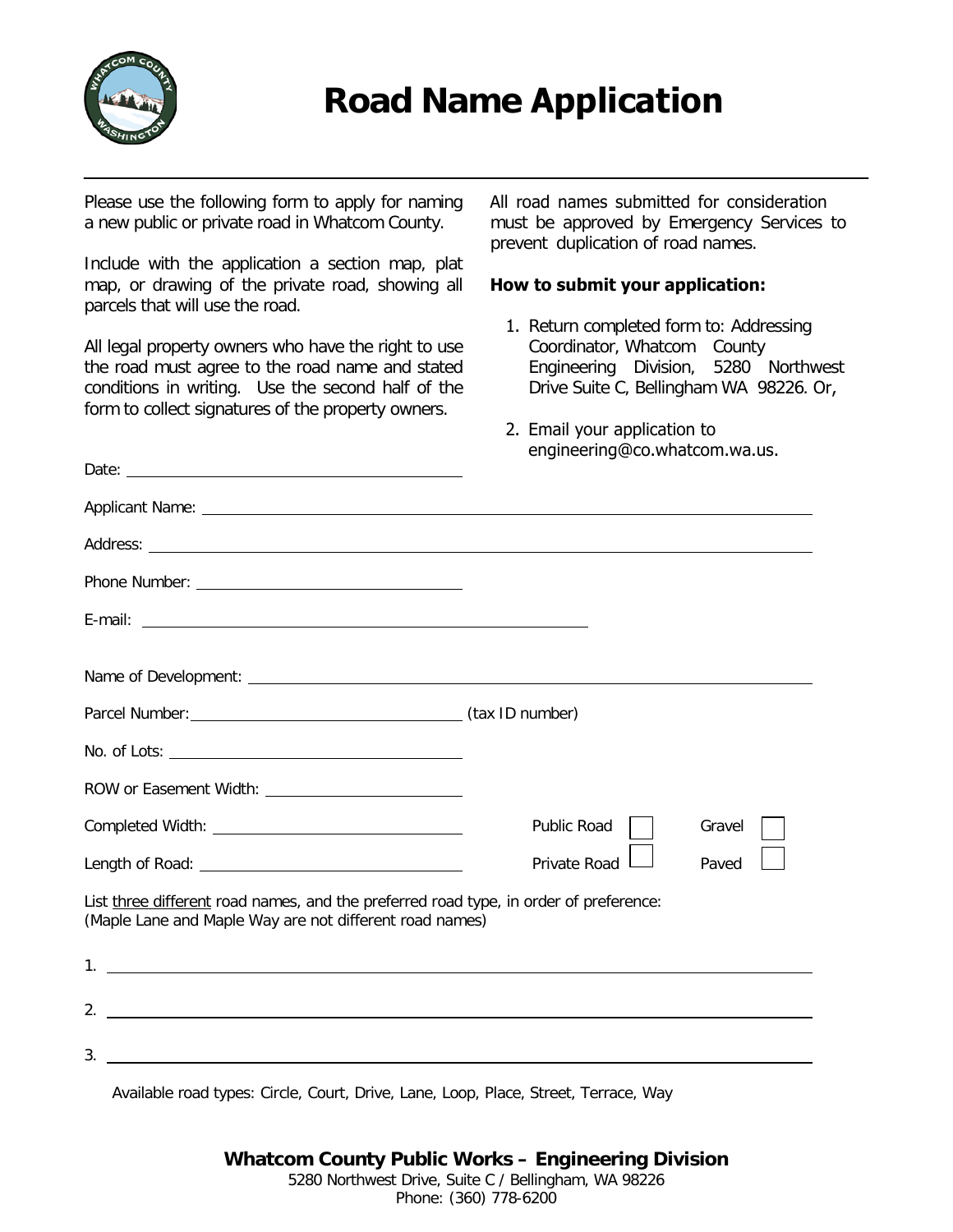

# **Road Name Application**

Please use the following form to apply for naming a new public or private road in Whatcom County.

Include with the application a section map, plat map, or drawing of the private road, showing all parcels that will use the road.

All legal property owners who have the right to use the road must agree to the road name and stated conditions in writing. Use the second half of the form to collect signatures of the property owners.

Date: <u>example</u>

All road names submitted for consideration must be approved by Emergency Services to prevent duplication of road names.

#### **How to submit your application:**

- 1. Return completed form to: Addressing Coordinator, Whatcom County Engineering Division, 5280 Northwest Drive Suite C, Bellingham WA 98226. Or,
- 2. Email your application to engineering@co.whatcom.wa.us.

|                                                                                                                                                  | <b>Public Road</b> | Gravel |  |  |
|--------------------------------------------------------------------------------------------------------------------------------------------------|--------------------|--------|--|--|
|                                                                                                                                                  | Private Road       | Paved  |  |  |
| List three different road names, and the preferred road type, in order of preference:<br>(Maple Lane and Maple Way are not different road names) |                    |        |  |  |
| $1.$ $\overline{\phantom{a}}$                                                                                                                    |                    |        |  |  |
|                                                                                                                                                  |                    |        |  |  |
|                                                                                                                                                  |                    |        |  |  |

Available road types: Circle, Court, Drive, Lane, Loop, Place, Street, Terrace, Way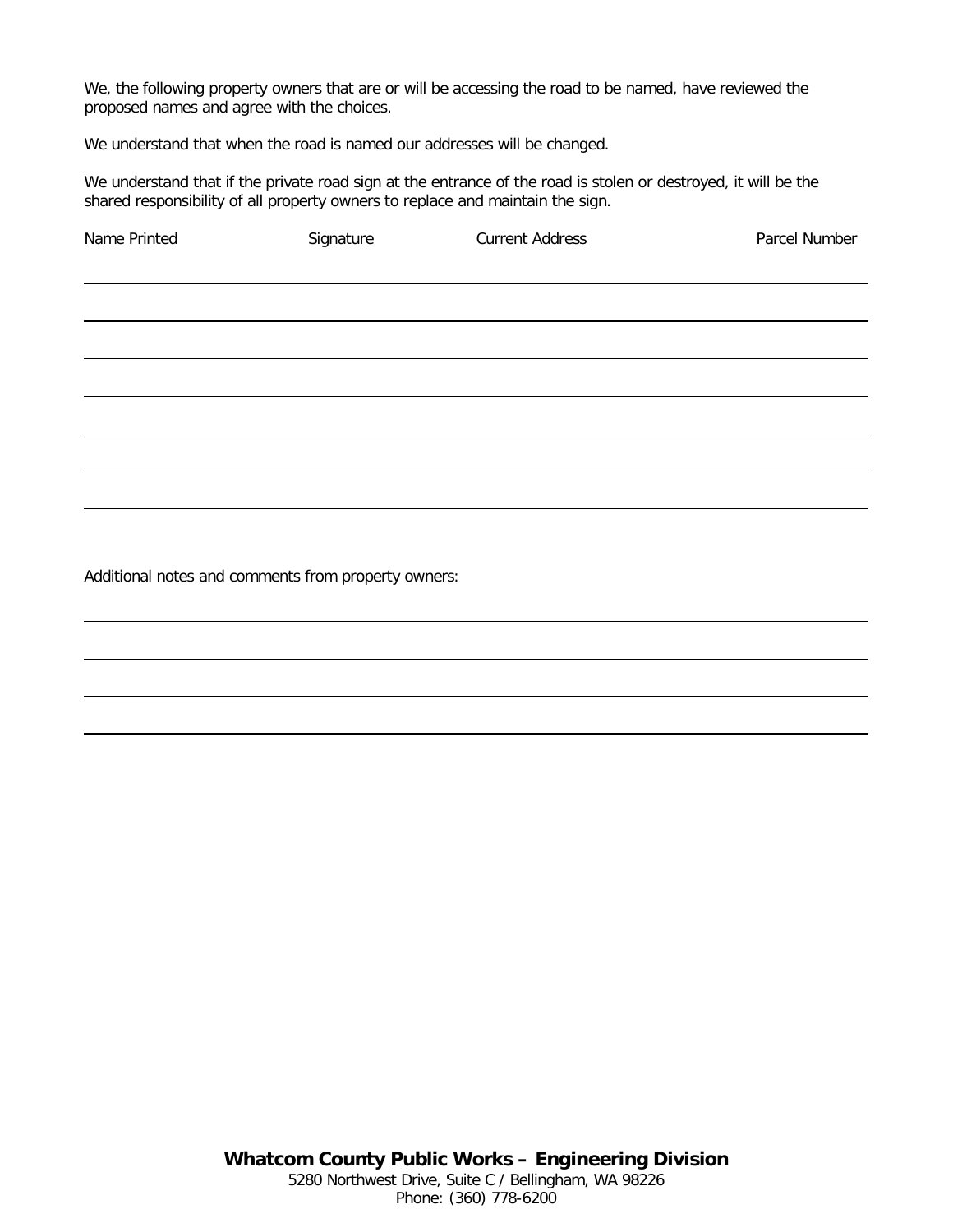We, the following property owners that are or will be accessing the road to be named, have reviewed the proposed names and agree with the choices.

We understand that when the road is named our addresses will be changed.

We understand that if the private road sign at the entrance of the road is stolen or destroyed, it will be the shared responsibility of all property owners to replace and maintain the sign.

| Name Printed | Signature | <b>Current Address</b> | Parcel Number |
|--------------|-----------|------------------------|---------------|
|              |           |                        |               |
|              |           |                        |               |
|              |           |                        |               |
|              |           |                        |               |
|              |           |                        |               |
|              |           |                        |               |
|              |           |                        |               |
|              |           |                        |               |
|              |           |                        |               |
|              |           |                        |               |

Additional notes and comments from property owners: